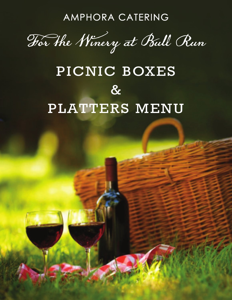AMPHORA CATERING

For the Winery at Bull Run

# PICNIC BOXES  $\boldsymbol{\delta}$ PLATTERS MENU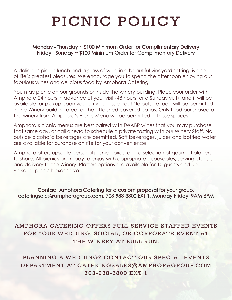## PICNIC POLICY

#### Monday - Thursday ~ \$100 Minimum Order for Complimentary Delivery Friday - Sunday ~ \$100 Minimum Order for Complimentary Delivery

A delicious picnic lunch and a glass of wine in a beautiful vineyard setting, is one of life's greatest pleasures. We encourage you to spend the afternoon enjoying our fabulous wines and delicious food by Amphora Catering.

You may picnic on our grounds or inside the winery building. Place your order with Amphora 24 hours in advance of your visit (48 hours for a Sunday visit), and it will be available for pickup upon your arrival, hassle free! No outside food will be permitted in the Winery building area, or the attached covered patios. Only food purchased at the winery from Amphora's Picnic Menu will be permitted in those spaces.

Amphora's picnic menus are best paired with TWABR wines that you may purchase that same day, or call ahead to schedule a private tasting with our Winery Staff. No outside alcoholic beverages are permitted. Soft beverages, juices and bottled water are available for purchase on site for your convenience.

Amphora offers upscale personal picnic boxes, and a selection of gourmet platters to share. All picnics are ready to enjoy with appropriate disposables, serving utensils, and delivery to the Winery! Platters options are available for 10 guests and up. Personal picnic boxes serve 1.

Contact Amphora Catering for a custom proposal for your group. cateringsales@amphoragroup.com, 703-938-3800 EXT 1, Monday-Friday, 9AM-6PM

#### AMPHORA CATERING OFFERS FULL SERVICE STAFFED EVENTS FOR YOUR WEDDING, SOCIAL, OR CORPORATE EVENT AT THE WINERY AT BULL RUN.

PLANNING A WEDDING? CONTACT OUR SPECIAL EVENTS DEPARTMENT AT CATERINGSALES@AMPHORAGROUP.COM 703-938-3800 EXT 1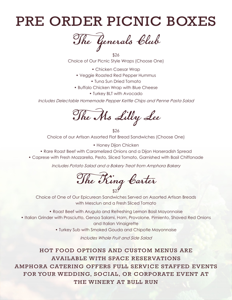### PRE ORDER PICNIC BOXES

The Generals Club

\$26 Choice of Our Picnic Style Wraps (Choose One)

- Chicken Caesar Wrap
- Veggie Roasted Red Pepper Hummus
	- Tuna Sun Dried Tomato
- Buffalo Chicken Wrap with Blue Cheese
	- Turkey BLT with Avocado

Includes Delectable Homemade Pepper Kettle Chips and Penne Pasta Salad

The Ms Lilly Lee

\$26 Choice of our Artisan Assorted Flat Bread Sandwiches (Choose One)

• Honey Dijon Chicken

- Rare Roast Beef with Caramelized Onions and a Dijon Horseradish Spread
- Caprese with Fresh Mozzarella, Pesto, Sliced Tomato, Garnished with Basil Chiffonade

Includes Potato Salad and a Bakery Treat from Amphora Bakery

\$27 The Ring Carter

Choice of One of Our Epicurean Sandwiches Served on Assorted Artisan Breads with Mesclun and a Fresh Sliced Tomato

• Roast Beef with Arugula and Refreshing Lemon Basil Mayonnaise • Italian Grinder with Prosciutto, Genoa Salami, Ham, Provolone, Pimiento, Shaved Red Onions and Italian Vinaigrette

• Turkey Sub with Smoked Gouda and Chipotle Mayonnaise

Includes Whole Fruit and Side Salad

HOT FOOD OPTIONS AND CUSTOM MENUS ARE AVAILABLE WITH SPACE RESERVATIONS AMPHORA CATERING OFFERS FULL SERVICE STAFFED EVENTS FOR YOUR WEDDING, SOCIAL, OR CORPORATE EVENT AT THE WINERY AT BULL RUN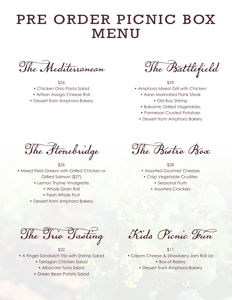### PRE ORDER PICNIC BOX MENU

The Mediterranean

\$26

- Chicken Orzo Pasta Salad
- Artisan Asiago Cheese Roll
- Dessert from Amphora Bakery

The Battlefield

\$39 • Amphora Mixed Grill with Chicken

- Asian Marinated Flank Steak • Old Bay Shrimp
- Balsamic Grilled Vegetables
- Parmesan Crusted Potatoes
- Dessert from Amphora Bakery

The Stonebridge

\$26 • Mixed Field Greens with Grilled Chicken or Grilled Salmon (\$27)

- Lemon Thyme Vinaigrette
	- Whole Grain Roll
	- Fresh Whole Fruit
- Dessert from Amphora Bakery

The Bistro Box

\$28 • Assorted Gourmet Cheeses

- Crisp Vegetable Crudites
	- Seasonal Fruits
	- Assorted Crackers

The Trio Tasting

\$22

- A Finger Sandwich Trio with Shrimp Salad
	- Tarragon Chicken Salad • Albacore Tuna Salad
	- Green Bean Potato Salad

Kids Picnic Fun

\$11 • Cream Cheese & Strawberry Jam Roll Up • Box of Raisins

• Dessert from Amphora Bakery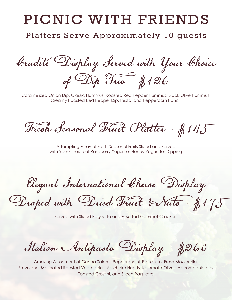## PICNIC WITH FRIENDS

Platters Serve Approximately 10 guests

Crudité Display Served with Your Choice of Dip Trio - \$126

Caramelized Onion Dip, Classic Hummus, Roasted Red Pepper Hummus, Black Olive Hummus, Creamy Roasted Red Pepper Dip, Pesto, and Peppercorn Ranch

Fresh Seasonal Fruit Platter - \$145

A Tempting Array of Fresh Seasonal Fruits Sliced and Served with Your Choice of Raspberry Yogurt or Honey Yogurt for Dipping

Elegant International Cheese Display

Draped with Dried Fruit & Nuts - \$175

Served with Sliced Baguette and Assorted Gourmet Crackers

Italian Antipasto Display - \$260

Amazing Assortment of Genoa Salami, Pepperoncini, Prosciutto, Fresh Mozzarella, Provolone, Marinated Roasted Vegetables, Artichoke Hearts, Kalamata Olives. Accompanied by Toasted Crostini, and Sliced Baguette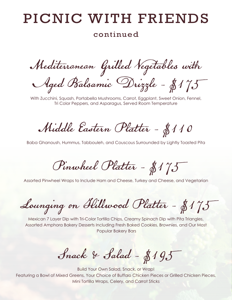### PICNIC WITH FRIENDS

#### continued

Mediterranean Grilled Vegetables with Aged Balsamic Drizzle - \$175

With Zucchini, Squash, Portabella Mushrooms, Carrot, Eggplant, Sweet Onion, Fennel, Tri Color Peppers, and Asparagus, Served Room Temperature

Middle Eastern Platter - \$110

Baba Ghanoush, Hummus, Tabbouleh, and Couscous Surrounded by Lightly Toasted Pita

Pinwheel Platter - \$175

Assorted Pinwheel Wraps to Include Ham and Cheese, Turkey and Cheese, and Vegetarian

Lounging on Hillwood Platter - \$175

Mexican 7 Layer Dip with Tri-Color Tortilla Chips, Creamy Spinach Dip with Pita Triangles, Assorted Amphora Bakery Desserts Including Fresh Baked Cookies, Brownies, and Our Most Popular Bakery Bars

Snack & Salad - \$195

Build Your Own Salad, Snack, or Wrap! Featuring a Bowl of Mixed Greens, Your Choice of Buffalo Chicken Pieces or Grilled Chicken Pieces, Mini Tortilla Wraps, Celery, and Carrot Sticks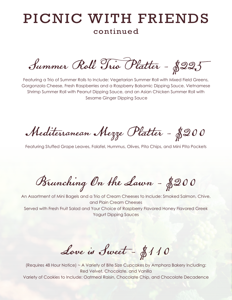#### PICNIC WITH FRIENDS continued

Summer Roll Trio Platter - \$225

Featuring a Trio of Summer Rolls to Include: Vegetarian Summer Roll with Mixed Field Greens, Gorgonzola Cheese, Fresh Raspberries and a Raspberry Balsamic Dipping Sauce, Vietnamese Shrimp Summer Roll with Peanut Dipping Sauce, and an Asian Chicken Summer Roll with Sesame Ginger Dipping Sauce

Mediterranean Mezze Platter - \$200

Featuring Stuffed Grape Leaves, Falafel, Hummus, Olives, Pita Chips, and Mini Pita Pockets

Brunching On the Lawn - \$200

An Assortment of Mini Bagels and a Trio of Cream Cheeses to Include: Smoked Salmon, Chive, and Plain Cream Cheeses Served with Fresh Fruit Salad and Your Choice of Raspberry Flavored Honey Flavored Greek Yogurt Dipping Sauces

Love is Sweet - \$110

(Requires 48 Hour Notice) ~ A Variety of Bite Size Cupcakes by Amphora Bakery Including: Red Velvet, Chocolate, and Vanilla Variety of Cookies to Include: Oatmeal Raisin, Chocolate Chip, and Chocolate Decadence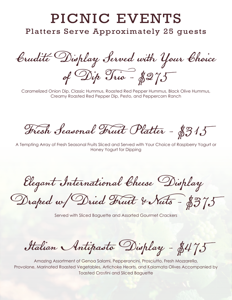### PICNIC EVENTS

Platters Serve Approximately 25 guests

Crudité Display Served with Your Choice of Dip Trio - \$275

Caramelized Onion Dip, Classic Hummus, Roasted Red Pepper Hummus, Black Olive Hummus, Creamy Roasted Red Pepper Dip, Pesto, and Peppercorn Ranch

Fresh Seasonal Fruit Platter - \$315

A Tempting Array of Fresh Seasonal Fruits Sliced and Served with Your Choice of Raspberry Yogurt or Honey Yogurt for Dipping

Elegant International Cheese Display

Draped w/Dried Fruit & Nuts - \$375

Served with Sliced Baguette and Assorted Gourmet Crackers

Italian Antipasto Display - \$475

Amazing Assortment of Genoa Salami, Pepperoncini, Prosciutto, Fresh Mozzarella, Provolone, Marinated Roasted Vegetables, Artichoke Hearts, and Kalamata Olives Accompanied by Toasted Crostini and Sliced Baguette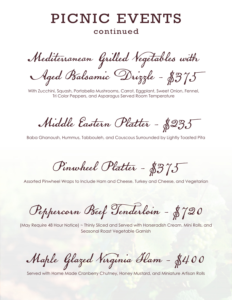# PICNIC EVENTS

#### continued

Mediterranean Grilled Vegetables with Aged Balsamic Drizzle - \$375

With Zucchini, Squash, Portabella Mushrooms, Carrot, Eggplant, Sweet Onion, Fennel, Tri Color Peppers, and Asparagus Served Room Temperature

Middle Eastern Platter - \$235

Baba Ghanoush, Hummus, Tabbouleh, and Couscous Surrounded by Lightly Toasted Pita

Pinwheel Platter - \$375

Assorted Pinwheel Wraps to Include Ham and Cheese, Turkey and Cheese, and Vegetarian

Peppercorn Beef Tenderloin - \$720

(May Require 48 Hour Notice) ~ Thinly Sliced and Served with Horseradish Cream, Mini Rolls, and Seasonal Roast Vegetable Garnish

Maple Glazed Virginia Ham - \$400

Served with Home Made Cranberry Chutney, Honey Mustard, and Miniature Artisan Rolls